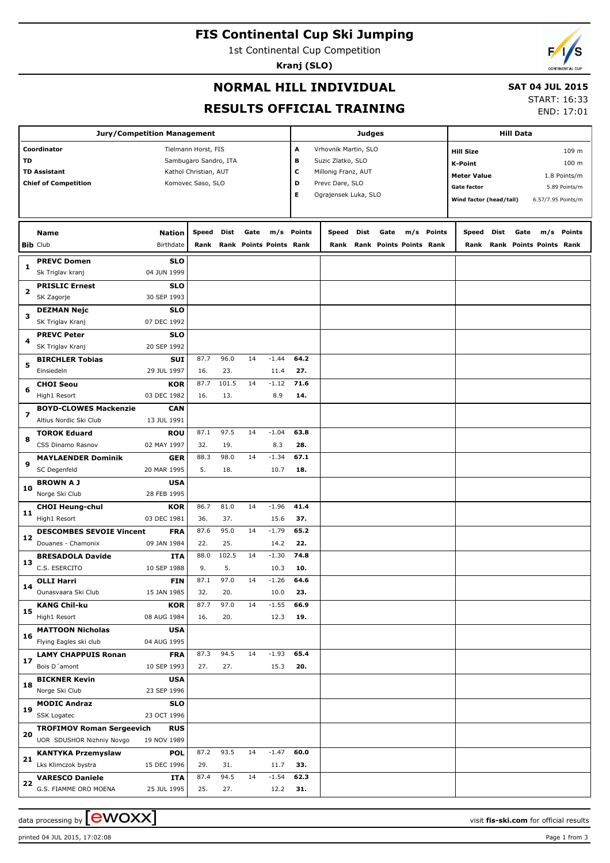# **FIS Continental Cup Ski Jumping**

1st Continental Cup Competition

**Kranj (SLO)**

# **NORMAL HILL INDIVIDUAL**

#### **SAT 04 JUL 2015**

**RESULTS OFFICIAL TRAINING**

START: 16:33 END: 17:01

|                                              |                                  | <b>Jury/Competition Management</b> |                       |       |      |                         | <b>Judges</b>             |                      |      |                         |  |            | <b>Hill Data</b>          |            |      |                              |                    |  |
|----------------------------------------------|----------------------------------|------------------------------------|-----------------------|-------|------|-------------------------|---------------------------|----------------------|------|-------------------------|--|------------|---------------------------|------------|------|------------------------------|--------------------|--|
|                                              | Coordinator                      |                                    | Tielmann Horst, FIS   |       |      |                         | A<br>Vrhovnik Martin, SLO |                      |      |                         |  |            | 109 m<br><b>Hill Size</b> |            |      |                              |                    |  |
| TD                                           |                                  |                                    | Sambugaro Sandro, ITA |       |      |                         | в                         | Suzic Zlatko, SLO    |      |                         |  |            | <b>K-Point</b>            |            |      |                              | 100 m              |  |
| <b>TD Assistant</b><br>Kathol Christian, AUT |                                  |                                    |                       |       |      |                         | c                         | Millonig Franz, AUT  |      |                         |  |            | <b>Meter Value</b>        |            |      |                              | 1.8 Points/m       |  |
|                                              | <b>Chief of Competition</b>      |                                    | Komovec Saso, SLO     |       |      |                         | D                         | Prevc Dare, SLO      |      |                         |  |            | <b>Gate factor</b>        |            |      |                              | 5.89 Points/m      |  |
|                                              |                                  |                                    |                       |       |      |                         | E                         | Ograjensek Luka, SLO |      |                         |  |            | Wind factor (head/tail)   |            |      |                              | 6.57/7.95 Points/m |  |
|                                              |                                  |                                    |                       |       |      |                         |                           |                      |      |                         |  |            |                           |            |      |                              |                    |  |
|                                              |                                  |                                    |                       |       |      |                         |                           |                      |      |                         |  |            |                           |            |      |                              |                    |  |
|                                              | <b>Name</b>                      | <b>Nation</b>                      | Speed                 | Dist  | Gate |                         | m/s Points                | Speed                | Dist | Gate                    |  | m/s Points |                           | Speed Dist | Gate |                              | m/s Points         |  |
|                                              | <b>Bib Club</b>                  | Birthdate                          | Rank                  |       |      | Rank Points Points Rank |                           | Rank                 |      | Rank Points Points Rank |  |            |                           |            |      | Rank Rank Points Points Rank |                    |  |
|                                              | <b>PREVC Domen</b>               | <b>SLO</b>                         |                       |       |      |                         |                           |                      |      |                         |  |            |                           |            |      |                              |                    |  |
| 1                                            | Sk Triglav kranj                 | 04 JUN 1999                        |                       |       |      |                         |                           |                      |      |                         |  |            |                           |            |      |                              |                    |  |
|                                              | <b>PRISLIC Ernest</b>            | <b>SLO</b>                         |                       |       |      |                         |                           |                      |      |                         |  |            |                           |            |      |                              |                    |  |
| 2                                            | SK Zagorje                       | 30 SEP 1993                        |                       |       |      |                         |                           |                      |      |                         |  |            |                           |            |      |                              |                    |  |
|                                              | <b>DEZMAN Nejc</b>               | <b>SLO</b>                         |                       |       |      |                         |                           |                      |      |                         |  |            |                           |            |      |                              |                    |  |
| з                                            | SK Triglav Kranj                 | 07 DEC 1992                        |                       |       |      |                         |                           |                      |      |                         |  |            |                           |            |      |                              |                    |  |
|                                              | <b>PREVC Peter</b>               | <b>SLO</b>                         |                       |       |      |                         |                           |                      |      |                         |  |            |                           |            |      |                              |                    |  |
| 4                                            | SK Triglav Kranj                 | 20 SEP 1992                        |                       |       |      |                         |                           |                      |      |                         |  |            |                           |            |      |                              |                    |  |
|                                              | <b>BIRCHLER Tobias</b>           | <b>SUI</b>                         | 87.7                  | 96.0  | 14   | $-1.44$                 | 64.2                      |                      |      |                         |  |            |                           |            |      |                              |                    |  |
| 5                                            | Einsiedeln                       | 29 JUL 1997                        | 16.                   | 23.   |      | 11.4                    | 27.                       |                      |      |                         |  |            |                           |            |      |                              |                    |  |
|                                              | <b>CHOI Seou</b>                 | <b>KOR</b>                         | 87.7                  | 101.5 | 14   | $-1.12$                 | 71.6                      |                      |      |                         |  |            |                           |            |      |                              |                    |  |
| 6                                            | High1 Resort                     | 03 DEC 1982                        | 16.                   | 13.   |      | 8.9                     | 14.                       |                      |      |                         |  |            |                           |            |      |                              |                    |  |
|                                              | <b>BOYD-CLOWES Mackenzie</b>     | CAN                                |                       |       |      |                         |                           |                      |      |                         |  |            |                           |            |      |                              |                    |  |
| $\overline{\phantom{a}}$                     | Altius Nordic Ski Club           | 13 JUL 1991                        |                       |       |      |                         |                           |                      |      |                         |  |            |                           |            |      |                              |                    |  |
|                                              | <b>TOROK Eduard</b>              | ROU                                | 87.1                  | 97.5  | 14   | $-1.04$                 | 63.8                      |                      |      |                         |  |            |                           |            |      |                              |                    |  |
| 8                                            | CSS Dinamo Rasnov                | 02 MAY 1997                        | 32.                   | 19.   |      | 8.3                     | 28.                       |                      |      |                         |  |            |                           |            |      |                              |                    |  |
|                                              | <b>MAYLAENDER Dominik</b>        | <b>GER</b>                         | 88.3                  | 98.0  | 14   | $-1.34$                 | 67.1                      |                      |      |                         |  |            |                           |            |      |                              |                    |  |
| 9                                            | SC Degenfeld                     | 20 MAR 1995                        | 5.                    | 18.   |      | 10.7                    | 18.                       |                      |      |                         |  |            |                           |            |      |                              |                    |  |
|                                              | <b>BROWN A J</b>                 | <b>USA</b>                         |                       |       |      |                         |                           |                      |      |                         |  |            |                           |            |      |                              |                    |  |
| 10                                           | Norge Ski Club                   | 28 FEB 1995                        |                       |       |      |                         |                           |                      |      |                         |  |            |                           |            |      |                              |                    |  |
|                                              | <b>CHOI Heung-chul</b>           | <b>KOR</b>                         | 86.7                  | 81.0  | 14   | $-1.96$                 | 41.4                      |                      |      |                         |  |            |                           |            |      |                              |                    |  |
| 11                                           | High1 Resort                     | 03 DEC 1981                        | 36.                   | 37.   |      | 15.6                    | 37.                       |                      |      |                         |  |            |                           |            |      |                              |                    |  |
|                                              | <b>DESCOMBES SEVOIE Vincent</b>  | <b>FRA</b>                         | 87.6                  | 95.0  | 14   | $-1.79$                 | 65.2                      |                      |      |                         |  |            |                           |            |      |                              |                    |  |
| 12                                           | Douanes - Chamonix               | 09 JAN 1984                        | 22.                   | 25.   |      | 14.2                    | 22.                       |                      |      |                         |  |            |                           |            |      |                              |                    |  |
|                                              | <b>BRESADOLA Davide</b>          | ITA                                | 88.0                  | 102.5 | 14   | $-1.30$                 | 74.8                      |                      |      |                         |  |            |                           |            |      |                              |                    |  |
| 13                                           | C.S. ESERCITO                    | 10 SEP 1988                        | 9.                    | 5.    |      | 10.3                    | 10.                       |                      |      |                         |  |            |                           |            |      |                              |                    |  |
|                                              | OLLI Harri                       | FIN                                | 87.1                  | 97.0  | 14   | $-1.26$                 | 64.6                      |                      |      |                         |  |            |                           |            |      |                              |                    |  |
| 14                                           | Ounasvaara Ski Club              | 15 JAN 1985                        | 32.                   | 20.   |      | 10.0                    | 23.                       |                      |      |                         |  |            |                           |            |      |                              |                    |  |
|                                              | <b>KANG Chil-ku</b>              | <b>KOR</b>                         | 87.7                  | 97.0  | 14   | $-1.55$                 | 66.9                      |                      |      |                         |  |            |                           |            |      |                              |                    |  |
| 15                                           | High1 Resort                     | 08 AUG 1984                        | 16.                   | 20.   |      | 12.3                    | 19.                       |                      |      |                         |  |            |                           |            |      |                              |                    |  |
|                                              | <b>MATTOON Nicholas</b>          | <b>USA</b>                         |                       |       |      |                         |                           |                      |      |                         |  |            |                           |            |      |                              |                    |  |
| 16                                           | Flying Eagles ski club           | 04 AUG 1995                        |                       |       |      |                         |                           |                      |      |                         |  |            |                           |            |      |                              |                    |  |
|                                              | <b>LAMY CHAPPUIS Ronan</b>       | <b>FRA</b>                         | 87.3                  | 94.5  | 14   | $-1.93$                 | 65.4                      |                      |      |                         |  |            |                           |            |      |                              |                    |  |
| 17                                           | Bois D'amont                     | 10 SEP 1993                        | 27.                   | 27.   |      | 15.3                    | 20.                       |                      |      |                         |  |            |                           |            |      |                              |                    |  |
|                                              | <b>BICKNER Kevin</b>             | <b>USA</b>                         |                       |       |      |                         |                           |                      |      |                         |  |            |                           |            |      |                              |                    |  |
| 18                                           | Norge Ski Club                   | 23 SEP 1996                        |                       |       |      |                         |                           |                      |      |                         |  |            |                           |            |      |                              |                    |  |
|                                              | <b>MODIC Andraz</b>              | <b>SLO</b>                         |                       |       |      |                         |                           |                      |      |                         |  |            |                           |            |      |                              |                    |  |
| 19                                           | SSK Logatec                      | 23 OCT 1996                        |                       |       |      |                         |                           |                      |      |                         |  |            |                           |            |      |                              |                    |  |
|                                              | <b>TROFIMOV Roman Sergeevich</b> | <b>RUS</b>                         |                       |       |      |                         |                           |                      |      |                         |  |            |                           |            |      |                              |                    |  |
| 20                                           | UOR SDUSHOR Nizhniy Novgo        | 19 NOV 1989                        |                       |       |      |                         |                           |                      |      |                         |  |            |                           |            |      |                              |                    |  |
|                                              | <b>KANTYKA Przemyslaw</b>        | <b>POL</b>                         | 87.2                  | 93.5  | 14   | $-1.47$                 | 60.0                      |                      |      |                         |  |            |                           |            |      |                              |                    |  |
| 21                                           | Lks Klimczok bystra              | 15 DEC 1996                        | 29.                   | 31.   |      | 11.7                    | 33.                       |                      |      |                         |  |            |                           |            |      |                              |                    |  |
|                                              | <b>VARESCO Daniele</b>           | ITA                                | 87.4                  | 94.5  | 14   | $-1.54$                 | 62.3                      |                      |      |                         |  |            |                           |            |      |                              |                    |  |
| 22                                           | G.S. FIAMME ORO MOENA            | 25 JUL 1995                        | 25.                   | 27.   |      | 12.2                    | 31.                       |                      |      |                         |  |            |                           |            |      |                              |                    |  |

data processing by **CWOXX** and  $\overline{C}$  and  $\overline{C}$  and  $\overline{C}$  and  $\overline{C}$  and  $\overline{C}$  and  $\overline{C}$  and  $\overline{C}$  and  $\overline{C}$  and  $\overline{C}$  and  $\overline{C}$  and  $\overline{C}$  and  $\overline{C}$  and  $\overline{C}$  and  $\overline{C}$  and  $\overline{C}$ 

printed 04 JUL 2015, 17:02:08 Page 1 from 3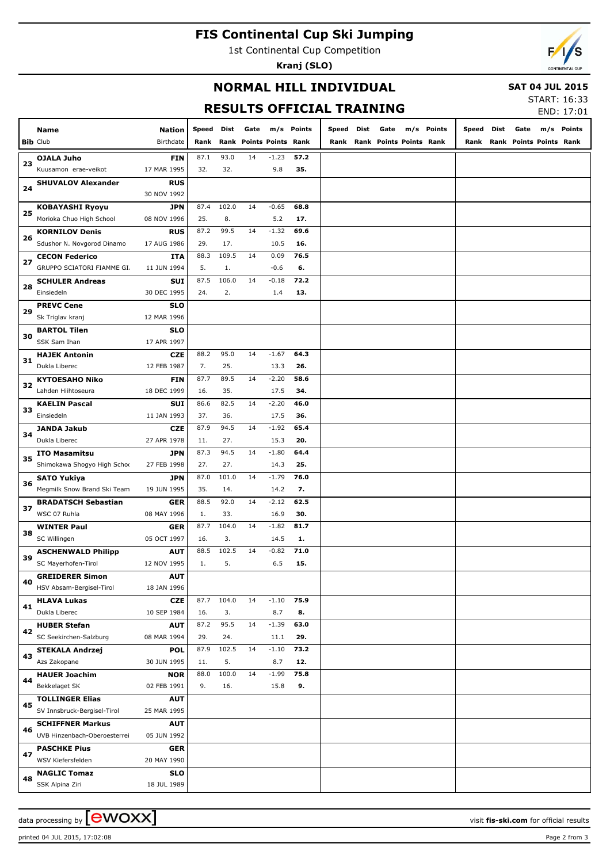# **FIS Continental Cup Ski Jumping**

1st Continental Cup Competition

**Kranj (SLO)**



## **NORMAL HILL INDIVIDUAL**

 **SAT 04 JUL 2015**

# **RESULTS OFFICIAL TRAINING**

| <b>START: 16:33</b> |                    |
|---------------------|--------------------|
|                     | <b>FNID. 17.01</b> |

|    |                              |               |            |       |                         |            |             | KESULIS UFFILIAL IKAININU |                              |            |       |      |                              | END: 17:01 |
|----|------------------------------|---------------|------------|-------|-------------------------|------------|-------------|---------------------------|------------------------------|------------|-------|------|------------------------------|------------|
|    | Name                         | <b>Nation</b> | Speed Dist |       | Gate                    | m/s Points |             | Speed Dist                | Gate                         | m/s Points | Speed | Dist | Gate                         | m/s Points |
|    | <b>Bib Club</b>              | Birthdate     | Rank       |       | Rank Points Points Rank |            |             |                           | Rank Rank Points Points Rank |            |       |      | Rank Rank Points Points Rank |            |
|    | <b>OJALA Juho</b>            | <b>FIN</b>    | 87.1       | 93.0  | 14                      | $-1.23$    | 57.2        |                           |                              |            |       |      |                              |            |
| 23 | Kuusamon erae-veikot         | 17 MAR 1995   | 32.        | 32.   |                         | 9.8        | 35.         |                           |                              |            |       |      |                              |            |
|    |                              | <b>RUS</b>    |            |       |                         |            |             |                           |                              |            |       |      |                              |            |
| 24 | <b>SHUVALOV Alexander</b>    | 30 NOV 1992   |            |       |                         |            |             |                           |                              |            |       |      |                              |            |
|    |                              |               |            | 102.0 | 14                      | $-0.65$    | 68.8        |                           |                              |            |       |      |                              |            |
| 25 | <b>KOBAYASHI Ryoyu</b>       | <b>JPN</b>    | 87.4       |       |                         |            |             |                           |                              |            |       |      |                              |            |
|    | Morioka Chuo High School     | 08 NOV 1996   | 25.        | 8.    |                         | 5.2        | 17.         |                           |                              |            |       |      |                              |            |
| 26 | <b>KORNILOV Denis</b>        | <b>RUS</b>    | 87.2       | 99.5  | 14                      | $-1.32$    | 69.6        |                           |                              |            |       |      |                              |            |
|    | Sdushor N. Novgorod Dinamo   | 17 AUG 1986   | 29.        | 17.   | 14                      | 10.5       | 16.<br>76.5 |                           |                              |            |       |      |                              |            |
| 27 | <b>CECON Federico</b>        | ITA           | 88.3       | 109.5 |                         | 0.09       |             |                           |                              |            |       |      |                              |            |
|    | GRUPPO SCIATORI FIAMME GI.   | 11 JUN 1994   | 5.         | 1.    |                         | $-0.6$     | 6.          |                           |                              |            |       |      |                              |            |
| 28 | <b>SCHULER Andreas</b>       | <b>SUI</b>    | 87.5       | 106.0 | 14                      | $-0.18$    | 72.2        |                           |                              |            |       |      |                              |            |
|    | Einsiedeln                   | 30 DEC 1995   | 24.        | 2.    |                         | 1.4        | 13.         |                           |                              |            |       |      |                              |            |
| 29 | <b>PREVC Cene</b>            | <b>SLO</b>    |            |       |                         |            |             |                           |                              |            |       |      |                              |            |
|    | Sk Triglav kranj             | 12 MAR 1996   |            |       |                         |            |             |                           |                              |            |       |      |                              |            |
| 30 | <b>BARTOL Tilen</b>          | SLO           |            |       |                         |            |             |                           |                              |            |       |      |                              |            |
|    | SSK Sam Ihan                 | 17 APR 1997   |            |       |                         |            |             |                           |                              |            |       |      |                              |            |
| 31 | <b>HAJEK Antonin</b>         | <b>CZE</b>    | 88.2       | 95.0  | 14                      | $-1.67$    | 64.3        |                           |                              |            |       |      |                              |            |
|    | Dukla Liberec                | 12 FEB 1987   | 7.         | 25.   |                         | 13.3       | 26.         |                           |                              |            |       |      |                              |            |
| 32 | <b>KYTOESAHO Niko</b>        | <b>FIN</b>    | 87.7       | 89.5  | 14                      | $-2.20$    | 58.6        |                           |                              |            |       |      |                              |            |
|    | Lahden Hiihtoseura           | 18 DEC 1999   | 16.        | 35.   |                         | 17.5       | 34.         |                           |                              |            |       |      |                              |            |
| 33 | <b>KAELIN Pascal</b>         | <b>SUI</b>    | 86.6       | 82.5  | 14                      | $-2.20$    | 46.0        |                           |                              |            |       |      |                              |            |
|    | Einsiedeln                   | 11 JAN 1993   | 37.        | 36.   |                         | 17.5       | 36.         |                           |                              |            |       |      |                              |            |
| 34 | <b>JANDA Jakub</b>           | <b>CZE</b>    | 87.9       | 94.5  | 14                      | $-1.92$    | 65.4        |                           |                              |            |       |      |                              |            |
|    | Dukla Liberec                | 27 APR 1978   | 11.        | 27.   |                         | 15.3       | 20.         |                           |                              |            |       |      |                              |            |
| 35 | <b>ITO Masamitsu</b>         | <b>JPN</b>    | 87.3       | 94.5  | 14                      | $-1.80$    | 64.4        |                           |                              |            |       |      |                              |            |
|    | Shimokawa Shogyo High Schoo  | 27 FEB 1998   | 27.        | 27.   |                         | 14.3       | 25.         |                           |                              |            |       |      |                              |            |
| 36 | <b>SATO Yukiya</b>           | <b>JPN</b>    | 87.0       | 101.0 | 14                      | $-1.79$    | 76.0        |                           |                              |            |       |      |                              |            |
|    | Megmilk Snow Brand Ski Team  | 19 JUN 1995   | 35.        | 14.   |                         | 14.2       | 7.          |                           |                              |            |       |      |                              |            |
| 37 | <b>BRADATSCH Sebastian</b>   | GER           | 88.5       | 92.0  | 14                      | $-2.12$    | 62.5        |                           |                              |            |       |      |                              |            |
|    | WSC 07 Ruhla                 | 08 MAY 1996   | 1.         | 33.   |                         | 16.9       | 30.         |                           |                              |            |       |      |                              |            |
| 38 | <b>WINTER Paul</b>           | <b>GER</b>    | 87.7       | 104.0 | 14                      | $-1.82$    | 81.7        |                           |                              |            |       |      |                              |            |
|    | SC Willingen                 | 05 OCT 1997   | 16.        | 3.    |                         | 14.5       | 1.          |                           |                              |            |       |      |                              |            |
| 39 | <b>ASCHENWALD Philipp</b>    | <b>AUT</b>    | 88.5       | 102.5 | 14                      | $-0.82$    | 71.0        |                           |                              |            |       |      |                              |            |
|    | SC Mayerhofen-Tirol          | 12 NOV 1995   | 1.         | 5.    |                         | 6.5        | 15.         |                           |                              |            |       |      |                              |            |
| 40 | <b>GREIDERER Simon</b>       | <b>AUT</b>    |            |       |                         |            |             |                           |                              |            |       |      |                              |            |
|    | HSV Absam-Bergisel-Tirol     | 18 JAN 1996   |            |       |                         |            |             |                           |                              |            |       |      |                              |            |
| 41 | <b>HLAVA Lukas</b>           | <b>CZE</b>    | 87.7       | 104.0 | 14                      | $-1.10$    | 75.9        |                           |                              |            |       |      |                              |            |
|    | Dukla Liberec                | 10 SEP 1984   | 16.        | 3.    |                         | 8.7        | 8.          |                           |                              |            |       |      |                              |            |
| 42 | <b>HUBER Stefan</b>          | <b>AUT</b>    | 87.2       | 95.5  | 14                      | $-1.39$    | 63.0        |                           |                              |            |       |      |                              |            |
|    | SC Seekirchen-Salzburg       | 08 MAR 1994   | 29.        | 24.   |                         | 11.1       | 29.         |                           |                              |            |       |      |                              |            |
|    | <b>STEKALA Andrzej</b>       | <b>POL</b>    | 87.9       | 102.5 | 14                      | $-1.10$    | 73.2        |                           |                              |            |       |      |                              |            |
| 43 | Azs Zakopane                 | 30 JUN 1995   | 11.        | 5.    |                         | 8.7        | 12.         |                           |                              |            |       |      |                              |            |
|    | <b>HAUER Joachim</b>         | <b>NOR</b>    | 88.0       | 100.0 | 14                      | $-1.99$    | 75.8        |                           |                              |            |       |      |                              |            |
| 44 | Bekkelaget SK                | 02 FEB 1991   | 9.         | 16.   |                         | 15.8       | 9.          |                           |                              |            |       |      |                              |            |
|    | <b>TOLLINGER Elias</b>       | <b>AUT</b>    |            |       |                         |            |             |                           |                              |            |       |      |                              |            |
| 45 | SV Innsbruck-Bergisel-Tirol  | 25 MAR 1995   |            |       |                         |            |             |                           |                              |            |       |      |                              |            |
|    | <b>SCHIFFNER Markus</b>      | <b>AUT</b>    |            |       |                         |            |             |                           |                              |            |       |      |                              |            |
| 46 | UVB Hinzenbach-Oberoesterrei | 05 JUN 1992   |            |       |                         |            |             |                           |                              |            |       |      |                              |            |
|    | <b>PASCHKE Pius</b>          | GER           |            |       |                         |            |             |                           |                              |            |       |      |                              |            |
| 47 | WSV Kiefersfelden            | 20 MAY 1990   |            |       |                         |            |             |                           |                              |            |       |      |                              |            |
|    | <b>NAGLIC Tomaz</b>          | <b>SLO</b>    |            |       |                         |            |             |                           |                              |            |       |      |                              |            |
| 48 | SSK Alpina Ziri              | 18 JUL 1989   |            |       |                         |            |             |                           |                              |            |       |      |                              |            |
|    |                              |               |            |       |                         |            |             |                           |                              |            |       |      |                              |            |

printed 04 JUL 2015, 17:02:08 Page 2 from 3

data processing by **CWOXX**  $\blacksquare$